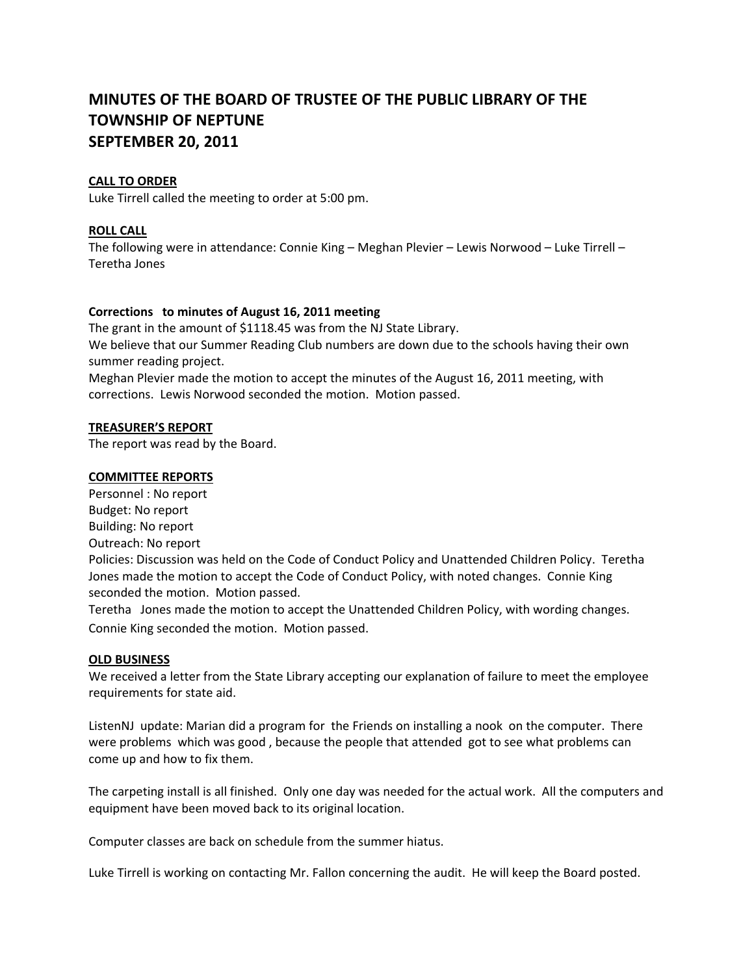# **MINUTES OF THE BOARD OF TRUSTEE OF THE PUBLIC LIBRARY OF THE TOWNSHIP OF NEPTUNE SEPTEMBER 20, 2011**

# **CALL TO ORDER**

Luke Tirrell called the meeting to order at 5:00 pm.

# **ROLL CALL**

The following were in attendance: Connie King – Meghan Plevier – Lewis Norwood – Luke Tirrell – Teretha Jones

## **Corrections to minutes of August 16, 2011 meeting**

The grant in the amount of \$1118.45 was from the NJ State Library.

We believe that our Summer Reading Club numbers are down due to the schools having their own summer reading project.

Meghan Plevier made the motion to accept the minutes of the August 16, 2011 meeting, with corrections. Lewis Norwood seconded the motion. Motion passed.

## **TREASURER'S REPORT**

The report was read by the Board.

## **COMMITTEE REPORTS**

Personnel : No report Budget: No report Building: No report Outreach: No report Policies: Discussion was held on the Code of Conduct Policy and Unattended Children Policy. Teretha Jones made the motion to accept the Code of Conduct Policy, with noted changes. Connie King seconded the motion. Motion passed.

Teretha Jones made the motion to accept the Unattended Children Policy, with wording changes. Connie King seconded the motion. Motion passed.

#### **OLD BUSINESS**

We received a letter from the State Library accepting our explanation of failure to meet the employee requirements for state aid.

ListenNJ update: Marian did a program for the Friends on installing a nook on the computer. There were problems which was good , because the people that attended got to see what problems can come up and how to fix them.

The carpeting install is all finished. Only one day was needed for the actual work. All the computers and equipment have been moved back to its original location.

Computer classes are back on schedule from the summer hiatus.

Luke Tirrell is working on contacting Mr. Fallon concerning the audit. He will keep the Board posted.